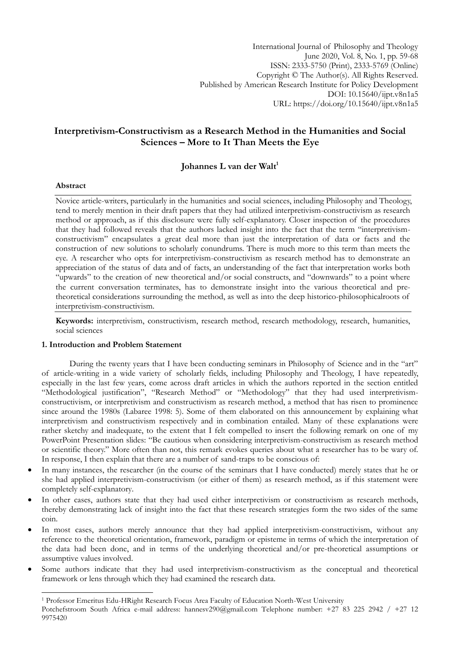International Journal of Philosophy and Theology June 2020, Vol. 8, No. 1, pp. 59-68 ISSN: 2333-5750 (Print), 2333-5769 (Online) Copyright © The Author(s). All Rights Reserved. Published by American Research Institute for Policy Development DOI: 10.15640/ijpt.v8n1a5 URL: https://doi.org/10.15640/ijpt.v8n1a5

# **Interpretivism-Constructivism as a Research Method in the Humanities and Social Sciences – More to It Than Meets the Eye**

# **Johannes L van der Walt<sup>1</sup>**

#### **Abstract**

1

Novice article-writers, particularly in the humanities and social sciences, including Philosophy and Theology, tend to merely mention in their draft papers that they had utilized interpretivism-constructivism as research method or approach, as if this disclosure were fully self-explanatory. Closer inspection of the procedures that they had followed reveals that the authors lacked insight into the fact that the term "interpretivismconstructivism" encapsulates a great deal more than just the interpretation of data or facts and the construction of new solutions to scholarly conundrums. There is much more to this term than meets the eye. A researcher who opts for interpretivism-constructivism as research method has to demonstrate an appreciation of the status of data and of facts, an understanding of the fact that interpretation works both "upwards" to the creation of new theoretical and/or social constructs, and "downwards" to a point where the current conversation terminates, has to demonstrate insight into the various theoretical and pretheoretical considerations surrounding the method, as well as into the deep historico-philosophicalroots of interpretivism-constructivism.

**Keywords:** interpretivism, constructivism, research method, research methodology, research, humanities, social sciences

# **1. Introduction and Problem Statement**

During the twenty years that I have been conducting seminars in Philosophy of Science and in the "art" of article-writing in a wide variety of scholarly fields, including Philosophy and Theology, I have repeatedly, especially in the last few years, come across draft articles in which the authors reported in the section entitled "Methodological justification", "Research Method" or "Methodology" that they had used interpretivismconstructivism, or interpretivism and constructivism as research method, a method that has risen to prominence since around the 1980s (Labaree 1998: 5). Some of them elaborated on this announcement by explaining what interpretivism and constructivism respectively and in combination entailed. Many of these explanations were rather sketchy and inadequate, to the extent that I felt compelled to insert the following remark on one of my PowerPoint Presentation slides: "Be cautious when considering interpretivism-constructivism as research method or scientific theory." More often than not, this remark evokes queries about what a researcher has to be wary of. In response, I then explain that there are a number of sand-traps to be conscious of:

- In many instances, the researcher (in the course of the seminars that I have conducted) merely states that he or she had applied interpretivism-constructivism (or either of them) as research method, as if this statement were completely self-explanatory.
- In other cases, authors state that they had used either interpretivism or constructivism as research methods, thereby demonstrating lack of insight into the fact that these research strategies form the two sides of the same coin.
- In most cases, authors merely announce that they had applied interpretivism-constructivism, without any reference to the theoretical orientation, framework, paradigm or episteme in terms of which the interpretation of the data had been done, and in terms of the underlying theoretical and/or pre-theoretical assumptions or assumptive values involved.
- Some authors indicate that they had used interpretivism-constructivism as the conceptual and theoretical framework or lens through which they had examined the research data.

<sup>1</sup> Professor Emeritus Edu-HRight Research Focus Area Faculty of Education North-West University

Potchefstroom South Africa e-mail address: [hannesv290@gmail.com](mailto:hannesv290@gmail.com) Telephone number: +27 83 225 2942 / +27 12 9975420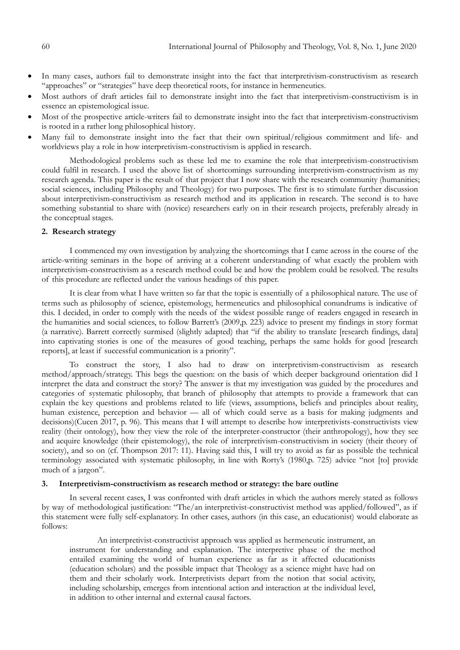- In many cases, authors fail to demonstrate insight into the fact that interpretivism-constructivism as research "approaches" or "strategies" have deep theoretical roots, for instance in hermeneutics.
- Most authors of draft articles fail to demonstrate insight into the fact that interpretivism-constructivism is in essence an epistemological issue.
- Most of the prospective article-writers fail to demonstrate insight into the fact that interpretivism-constructivism is rooted in a rather long philosophical history.
- Many fail to demonstrate insight into the fact that their own spiritual/religious commitment and life- and worldviews play a role in how interpretivism-constructivism is applied in research.

Methodological problems such as these led me to examine the role that interpretivism-constructivism could fulfil in research. I used the above list of shortcomings surrounding interpretivism-constructivism as my research agenda. This paper is the result of that project that I now share with the research community (humanities; social sciences, including Philosophy and Theology) for two purposes. The first is to stimulate further discussion about interpretivism-constructivism as research method and its application in research. The second is to have something substantial to share with (novice) researchers early on in their research projects, preferably already in the conceptual stages.

## **2. Research strategy**

I commenced my own investigation by analyzing the shortcomings that I came across in the course of the article-writing seminars in the hope of arriving at a coherent understanding of what exactly the problem with interpretivism-constructivism as a research method could be and how the problem could be resolved. The results of this procedure are reflected under the various headings of this paper.

It is clear from what I have written so far that the topic is essentially of a philosophical nature. The use of terms such as philosophy of science, epistemology, hermeneutics and philosophical conundrums is indicative of this. I decided, in order to comply with the needs of the widest possible range of readers engaged in research in the humanities and social sciences, to follow Barrett's (2009,p. 223) advice to present my findings in story format (a narrative). Barrett correctly surmised (slightly adapted) that "if the ability to translate [research findings, data] into captivating stories is one of the measures of good teaching, perhaps the same holds for good [research reports], at least if successful communication is a priority".

To construct the story, I also had to draw on interpretivism-constructivism as research method/approach/strategy. This begs the question: on the basis of which deeper background orientation did I interpret the data and construct the story? The answer is that my investigation was guided by the procedures and categories of systematic philosophy, that branch of philosophy that attempts to provide a framework that can explain the key questions and problems related to life (views, assumptions, beliefs and principles about reality, human existence, perception and behavior — all of which could serve as a basis for making judgments and decisions)(Cucen 2017, p. 96). This means that I will attempt to describe how interpretivists-constructivists view reality (their ontology), how they view the role of the interpreter-constructor (their anthropology), how they see and acquire knowledge (their epistemology), the role of interpretivism-constructivism in society (their theory of society), and so on (cf. Thompson 2017: 11). Having said this, I will try to avoid as far as possible the technical terminology associated with systematic philosophy, in line with Rorty's (1980,p. 725) advice "not [to] provide much of a jargon".

### **3. Interpretivism-constructivism as research method or strategy: the bare outline**

In several recent cases, I was confronted with draft articles in which the authors merely stated as follows by way of methodological justification: "The/an interpretivist-constructivist method was applied/followed", as if this statement were fully self-explanatory. In other cases, authors (in this case, an educationist) would elaborate as follows:

An interpretivist-constructivist approach was applied as hermeneutic instrument, an instrument for understanding and explanation. The interpretive phase of the method entailed examining the world of human experience as far as it affected educationists (education scholars) and the possible impact that Theology as a science might have had on them and their scholarly work. Interpretivists depart from the notion that social activity, including scholarship, emerges from intentional action and interaction at the individual level, in addition to other internal and external causal factors.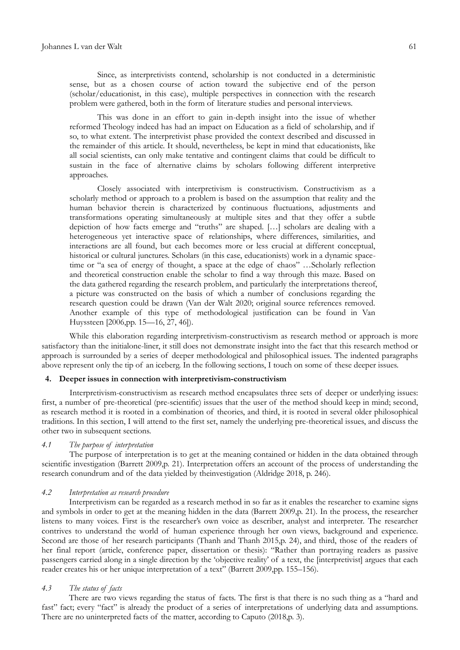Since, as interpretivists contend, scholarship is not conducted in a deterministic sense, but as a chosen course of action toward the subjective end of the person (scholar/educationist, in this case), multiple perspectives in connection with the research problem were gathered, both in the form of literature studies and personal interviews.

This was done in an effort to gain in-depth insight into the issue of whether reformed Theology indeed has had an impact on Education as a field of scholarship, and if so, to what extent. The interpretivist phase provided the context described and discussed in the remainder of this article. It should, nevertheless, be kept in mind that educationists, like all social scientists, can only make tentative and contingent claims that could be difficult to sustain in the face of alternative claims by scholars following different interpretive approaches.

Closely associated with interpretivism is constructivism. Constructivism as a scholarly method or approach to a problem is based on the assumption that reality and the human behavior therein is characterized by continuous fluctuations, adjustments and transformations operating simultaneously at multiple sites and that they offer a subtle depiction of how facts emerge and "truths" are shaped. [...] scholars are dealing with a heterogeneous yet interactive space of relationships, where differences, similarities, and interactions are all found, but each becomes more or less crucial at different conceptual, historical or cultural junctures. Scholars (in this case, educationists) work in a dynamic spacetime or "a sea of energy of thought, a space at the edge of chaos" ... Scholarly reflection and theoretical construction enable the scholar to find a way through this maze. Based on the data gathered regarding the research problem, and particularly the interpretations thereof, a picture was constructed on the basis of which a number of conclusions regarding the research question could be drawn (Van der Walt 2020; original source references removed. Another example of this type of methodological justification can be found in Van Huyssteen [2006,pp. 15—16, 27, 46]).

While this elaboration regarding interpretivism-constructivism as research method or approach is more satisfactory than the initialone-liner, it still does not demonstrate insight into the fact that this research method or approach is surrounded by a series of deeper methodological and philosophical issues. The indented paragraphs above represent only the tip of an iceberg. In the following sections, I touch on some of these deeper issues.

## **4. Deeper issues in connection with interpretivism-constructivism**

Interpretivism-constructivism as research method encapsulates three sets of deeper or underlying issues: first, a number of pre-theoretical (pre-scientific) issues that the user of the method should keep in mind; second, as research method it is rooted in a combination of theories, and third, it is rooted in several older philosophical traditions. In this section, I will attend to the first set, namely the underlying pre-theoretical issues, and discuss the other two in subsequent sections.

## *4.1 The purpose of interpretation*

The purpose of interpretation is to get at the meaning contained or hidden in the data obtained through scientific investigation (Barrett 2009,p. 21). Interpretation offers an account of the process of understanding the research conundrum and of the data yielded by theinvestigation (Aldridge 2018, p. 246).

#### *4.2 Interpretation as research procedure*

Interpretivism can be regarded as a research method in so far as it enables the researcher to examine signs and symbols in order to get at the meaning hidden in the data (Barrett 2009,p. 21). In the process, the researcher listens to many voices. First is the researcher's own voice as describer, analyst and interpreter. The researcher contrives to understand the world of human experience through her own views, background and experience. Second are those of her research participants (Thanh and Thanh 2015,p. 24), and third, those of the readers of her final report (article, conference paper, dissertation or thesis): "Rather than portraying readers as passive passengers carried along in a single direction by the 'objective reality' of a text, the [interpretivist] argues that each reader creates his or her unique interpretation of a text" (Barrett 2009,pp. 155–156).

#### *4.3 The status of facts*

There are two views regarding the status of facts. The first is that there is no such thing as a "hard and fast" fact; every "fact" is already the product of a series of interpretations of underlying data and assumptions. There are no uninterpreted facts of the matter, according to Caputo (2018,p. 3).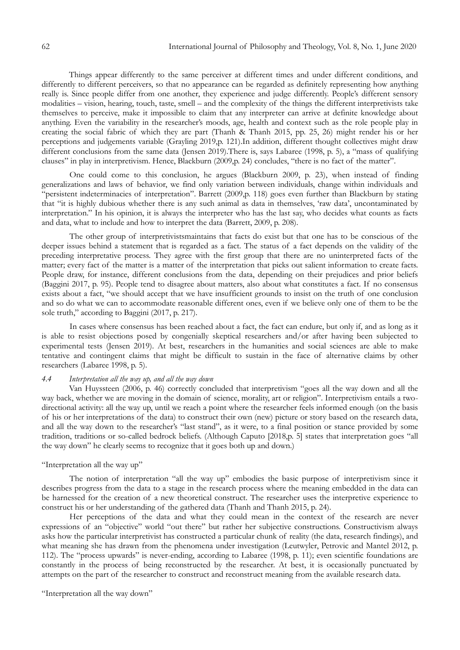Things appear differently to the same perceiver at different times and under different conditions, and differently to different perceivers, so that no appearance can be regarded as definitely representing how anything really is. Since people differ from one another, they experience and judge differently. People's different sensory modalities – vision, hearing, touch, taste, smell – and the complexity of the things the different interpretivists take themselves to perceive, make it impossible to claim that any interpreter can arrive at definite knowledge about anything. Even the variability in the researcher's moods, age, health and context such as the role people play in creating the social fabric of which they are part (Thanh & Thanh 2015, pp. 25, 26) might render his or her perceptions and judgements variable (Grayling 2019,p. 121).In addition, different thought collectives might draw different conclusions from the same data (Jensen 2019). There is, says Labaree (1998, p. 5), a "mass of qualifying clauses" in play in interpretivism. Hence, Blackburn (2009,p. 24) concludes, "there is no fact of the matter".

One could come to this conclusion, he argues (Blackburn 2009, p. 23), when instead of finding generalizations and laws of behavior, we find only variation between individuals, change within individuals and ―persistent indeterminacies of interpretation‖. Barrett (2009,p. 118) goes even further than Blackburn by stating that "it is highly dubious whether there is any such animal as data in themselves, 'raw data', uncontaminated by interpretation." In his opinion, it is always the interpreter who has the last say, who decides what counts as facts and data, what to include and how to interpret the data (Barrett, 2009, p. 208).

The other group of interpretivistsmaintains that facts do exist but that one has to be conscious of the deeper issues behind a statement that is regarded as a fact. The status of a fact depends on the validity of the preceding interpretative process. They agree with the first group that there are no uninterpreted facts of the matter; every fact of the matter is a matter of the interpretation that picks out salient information to create facts. People draw, for instance, different conclusions from the data, depending on their prejudices and prior beliefs (Baggini 2017, p. 95). People tend to disagree about matters, also about what constitutes a fact. If no consensus exists about a fact, "we should accept that we have insufficient grounds to insist on the truth of one conclusion and so do what we can to accommodate reasonable different ones, even if we believe only one of them to be the sole truth," according to Baggini (2017, p. 217).

In cases where consensus has been reached about a fact, the fact can endure, but only if, and as long as it is able to resist objections posed by congenially skeptical researchers and/or after having been subjected to experimental tests (Jensen 2019). At best, researchers in the humanities and social sciences are able to make tentative and contingent claims that might be difficult to sustain in the face of alternative claims by other researchers (Labaree 1998, p. 5).

## *4.4 Interpretation all the way up, and all the way down*

Van Huyssteen (2006, p. 46) correctly concluded that interpretivism "goes all the way down and all the way back, whether we are moving in the domain of science, morality, art or religion". Interpretivism entails a twodirectional activity: all the way up, until we reach a point where the researcher feels informed enough (on the basis of his or her interpretations of the data) to construct their own (new) picture or story based on the research data, and all the way down to the researcher's "last stand", as it were, to a final position or stance provided by some tradition, traditions or so-called bedrock beliefs. (Although Caputo [2018,p. 5] states that interpretation goes "all the way down" he clearly seems to recognize that it goes both up and down.)

### "Interpretation all the way up"

The notion of interpretation "all the way up" embodies the basic purpose of interpretivism since it describes progress from the data to a stage in the research process where the meaning embedded in the data can be harnessed for the creation of a new theoretical construct. The researcher uses the interpretive experience to construct his or her understanding of the gathered data (Thanh and Thanh 2015, p. 24).

Her perceptions of the data and what they could mean in the context of the research are never expressions of an "objective" world "out there" but rather her subjective constructions. Constructivism always asks how the particular interpretivist has constructed a particular chunk of reality (the data, research findings), and what meaning she has drawn from the phenomena under investigation (Leutwyler, Petrovic and Mantel 2012, p. 112). The "process upwards" is never-ending, according to Labaree (1998, p. 11); even scientific foundations are constantly in the process of being reconstructed by the researcher. At best, it is occasionally punctuated by attempts on the part of the researcher to construct and reconstruct meaning from the available research data.

"Interpretation all the way down"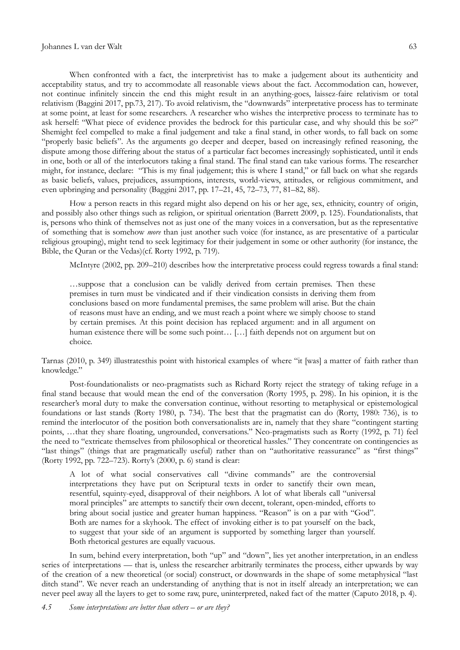When confronted with a fact, the interpretivist has to make a judgement about its authenticity and acceptability status, and try to accommodate all reasonable views about the fact. Accommodation can, however, not continue infinitely sincein the end this might result in an anything-goes, laissez-faire relativism or total relativism (Baggini 2017, pp.73, 217). To avoid relativism, the "downwards" interpretative process has to terminate at some point, at least for some researchers. A researcher who wishes the interpretive process to terminate has to ask herself: "What piece of evidence provides the bedrock for this particular case, and why should this be so?" Shemight feel compelled to make a final judgement and take a final stand, in other words, to fall back on some "properly basic beliefs". As the arguments go deeper and deeper, based on increasingly refined reasoning, the dispute among those differing about the status of a particular fact becomes increasingly sophisticated, until it ends in one, both or all of the interlocutors taking a final stand. The final stand can take various forms. The researcher might, for instance, declare: "This is my final judgement; this is where I stand," or fall back on what she regards as basic beliefs, values, prejudices, assumptions, interests, world-views, attitudes, or religious commitment, and even upbringing and personality (Baggini 2017, pp. 17–21, 45, 72–73, 77, 81–82, 88).

How a person reacts in this regard might also depend on his or her age, sex, ethnicity, country of origin, and possibly also other things such as religion, or spiritual orientation (Barrett 2009, p. 125). Foundationalists, that is, persons who think of themselves not as just one of the many voices in a conversation, but as the representative of something that is somehow *more* than just another such voice (for instance, as are presentative of a particular religious grouping), might tend to seek legitimacy for their judgement in some or other authority (for instance, the Bible, the Quran or the Vedas)(cf. Rorty 1992, p. 719).

McIntyre (2002, pp. 209–210) describes how the interpretative process could regress towards a final stand:

…suppose that a conclusion can be validly derived from certain premises. Then these premises in turn must be vindicated and if their vindication consists in deriving them from conclusions based on more fundamental premises, the same problem will arise. But the chain of reasons must have an ending, and we must reach a point where we simply choose to stand by certain premises. At this point decision has replaced argument: and in all argument on human existence there will be some such point... [...] faith depends not on argument but on choice.

Tarnas (2010, p. 349) illustratesthis point with historical examples of where "it [was] a matter of faith rather than knowledge."

Post-foundationalists or neo-pragmatists such as Richard Rorty reject the strategy of taking refuge in a final stand because that would mean the end of the conversation (Rorty 1995, p. 298). In his opinion, it is the researcher's moral duty to make the conversation continue, without resorting to metaphysical or epistemological foundations or last stands (Rorty 1980, p. 734). The best that the pragmatist can do (Rorty, 1980: 736), is to remind the interlocutor of the position both conversationalists are in, namely that they share "contingent starting points, ... that they share floating, ungrounded, conversations." Neo-pragmatists such as Rorty (1992, p. 71) feel the need to "extricate themselves from philosophical or theoretical hassles." They concentrate on contingencies as "last things" (things that are pragmatically useful) rather than on "authoritative reassurance" as "first things" (Rorty 1992, pp. 722–723). Rorty's (2000, p. 6) stand is clear:

A lot of what social conservatives call "divine commands" are the controversial interpretations they have put on Scriptural texts in order to sanctify their own mean, resentful, squinty-eyed, disapproval of their neighbors. A lot of what liberals call "universal moral principles" are attempts to sanctify their own decent, tolerant, open-minded, efforts to bring about social justice and greater human happiness. "Reason" is on a par with "God". Both are names for a skyhook. The effect of invoking either is to pat yourself on the back, to suggest that your side of an argument is supported by something larger than yourself. Both rhetorical gestures are equally vacuous.

In sum, behind every interpretation, both "up" and "down", lies yet another interpretation, in an endless series of interpretations — that is, unless the researcher arbitrarily terminates the process, either upwards by way of the creation of a new theoretical (or social) construct, or downwards in the shape of some metaphysical "last ditch stand". We never reach an understanding of anything that is not in itself already an interpretation; we can never peel away all the layers to get to some raw, pure, uninterpreted, naked fact of the matter (Caputo 2018, p. 4).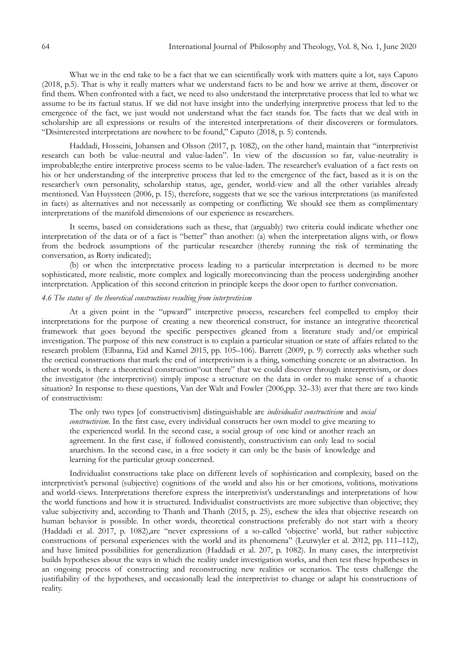What we in the end take to be a fact that we can scientifically work with matters quite a lot, says Caputo (2018, p.5). That is why it really matters what we understand facts to be and how we arrive at them, discover or find them. When confronted with a fact, we need to also understand the interpretative process that led to what we assume to be its factual status. If we did not have insight into the underlying interpretive process that led to the emergence of the fact, we just would not understand what the fact stands for. The facts that we deal with in scholarship are all expressions or results of the interested interpretations of their discoverers or formulators. "Disinterested interpretations are nowhere to be found," Caputo  $(2018, p. 5)$  contends.

Haddadi, Hosseini, Johansen and Olsson (2017, p. 1082), on the other hand, maintain that "interpretivist research can both be value-neutral and value-laden". In view of the discussion so far, value-neutrality is improbable;the entire interpretive process seems to be value-laden. The researcher's evaluation of a fact rests on his or her understanding of the interpretive process that led to the emergence of the fact, based as it is on the researcher's own personality, scholarship status, age, gender, world-view and all the other variables already mentioned. Van Huyssteen (2006, p. 15), therefore, suggests that we see the various interpretations (as manifested in facts) as alternatives and not necessarily as competing or conflicting. We should see them as complimentary interpretations of the manifold dimensions of our experience as researchers.

It seems, based on considerations such as these, that (arguably) two criteria could indicate whether one interpretation of the data or of a fact is "better" than another: (a) when the interpretation aligns with, or flows from the bedrock assumptions of the particular researcher (thereby running the risk of terminating the conversation, as Rorty indicated);

(b) or when the interpretative process leading to a particular interpretation is deemed to be more sophisticated, more realistic, more complex and logically moreconvincing than the process undergirding another interpretation. Application of this second criterion in principle keeps the door open to further conversation.

# *4.6 The status of the theoretical constructions resulting from interpretivism*

At a given point in the "upward" interpretive process, researchers feel compelled to employ their interpretations for the purpose of creating a new theoretical construct, for instance an integrative theoretical framework that goes beyond the specific perspectives gleaned from a literature study and/or empirical investigation. The purpose of this new construct is to explain a particular situation or state of affairs related to the research problem (Elbanna, Eid and Kamel 2015, pp. 105–106). Barrett (2009, p. 9) correctly asks whether such the oretical constructions that mark the end of interpretivism is a thing, something concrete or an abstraction. In other words, is there a theoretical construction "out there" that we could discover through interpretivism, or does the investigator (the interpretivist) simply impose a structure on the data in order to make sense of a chaotic situation? In response to these questions, Van der Walt and Fowler (2006,pp. 32–33) aver that there are two kinds of constructivism:

The only two types [of constructivism] distinguishable are *individualist constructivism* and *social constructivism.* In the first case, every individual constructs her own model to give meaning to the experienced world. In the second case, a social group of one kind or another reach an agreement. In the first case, if followed consistently, constructivism can only lead to social anarchism. In the second case, in a free society it can only be the basis of knowledge and learning for the particular group concerned.

Individualist constructions take place on different levels of sophistication and complexity, based on the interpretivist's personal (subjective) cognitions of the world and also his or her emotions, volitions, motivations and world-views. Interpretations therefore express the interpretivist's understandings and interpretations of how the world functions and how it is structured. Individualist constructivists are more subjective than objective; they value subjectivity and, according to Thanh and Thanh (2015, p. 25), eschew the idea that objective research on human behavior is possible. In other words, theoretical constructions preferably do not start with a theory (Haddadi et al. 2017, p. 1082), are "never expressions of a so-called 'objective' world, but rather subjective constructions of personal experiences with the world and its phenomena" (Leutwyler et al. 2012, pp. 111–112), and have limited possibilities for generalization (Haddadi et al. 207, p. 1082). In many cases, the interpretivist builds hypotheses about the ways in which the reality under investigation works, and then test these hypotheses in an ongoing process of constructing and reconstructing new realities or scenarios. The tests challenge the justifiability of the hypotheses, and occasionally lead the interpretivist to change or adapt his constructions of reality.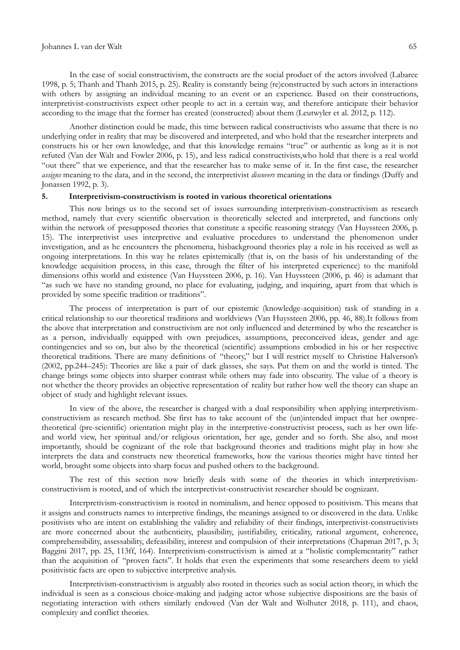#### Johannes L van der Walt 65

In the case of social constructivism, the constructs are the social product of the actors involved (Labaree 1998, p. 5; Thanh and Thanh 2015, p. 25). Reality is constantly being (re)constructed by such actors in interactions with others by assigning an individual meaning to an event or an experience. Based on their constructions, interpretivist-constructivists expect other people to act in a certain way, and therefore anticipate their behavior according to the image that the former has created (constructed) about them (Leutwyler et al. 2012, p. 112).

Another distinction could be made, this time between radical constructivists who assume that there is no underlying order in reality that may be discovered and interpreted, and who hold that the researcher interprets and constructs his or her own knowledge, and that this knowledge remains "true" or authentic as long as it is not refuted (Van der Walt and Fowler 2006, p. 15), and less radical constructivists,who hold that there is a real world ―out there‖ that we experience, and that the researcher has to make sense of it. In the first case, the researcher *assigns* meaning to the data, and in the second, the interpretivist *discovers* meaning in the data or findings (Duffy and Jonassen 1992, p. 3).

#### **5. Interpretivism-constructivism is rooted in various theoretical orientations**

This now brings us to the second set of issues surrounding interpretivism-constructivism as research method, namely that every scientific observation is theoretically selected and interpreted, and functions only within the network of presupposed theories that constitute a specific reasoning strategy (Van Huyssteen 2006, p. 15). The interpretivist uses interpretive and evaluative procedures to understand the phenomenon under investigation, and as he encounters the phenomena, hisbackground theories play a role in his received as well as ongoing interpretations. In this way he relates epistemically (that is, on the basis of his understanding of the knowledge acquisition process, in this case, through the filter of his interpreted experience) to the manifold dimensions ofhis world and existence (Van Huyssteen 2006, p. 16). Van Huyssteen (2006, p. 46) is adamant that ―as such we have no standing ground, no place for evaluating, judging, and inquiring, apart from that which is provided by some specific tradition or traditions".

The process of interpretation is part of our epistemic (knowledge-acquisition) task of standing in a critical relationship to our theoretical traditions and worldviews (Van Huyssteen 2006, pp. 46, 88).It follows from the above that interpretation and constructivism are not only influenced and determined by who the researcher is as a person, individually equipped with own prejudices, assumptions, preconceived ideas, gender and age contingencies and so on, but also by the theoretical (scientific) assumptions embodied in his or her respective theoretical traditions. There are many definitions of "theory," but I will restrict myself to Christine Halverson's (2002, pp.244–245): Theories are like a pair of dark glasses, she says. Put them on and the world is tinted. The change brings some objects into sharper contrast while others may fade into obscurity. The value of a theory is not whether the theory provides an objective representation of reality but rather how well the theory can shape an object of study and highlight relevant issues.

In view of the above, the researcher is charged with a dual responsibility when applying interpretivismconstructivism as research method. She first has to take account of the (un)intended impact that her ownpretheoretical (pre-scientific) orientation might play in the interpretive-constructivist process, such as her own lifeand world view, her spiritual and/or religious orientation, her age, gender and so forth. She also, and most importantly, should be cognizant of the role that background theories and traditions might play in how she interprets the data and constructs new theoretical frameworks, how the various theories might have tinted her world, brought some objects into sharp focus and pushed others to the background.

The rest of this section now briefly deals with some of the theories in which interpretivismconstructivism is rooted, and of which the interpretivist-constructivist researcher should be cognizant.

Interpretivism-constructivism is rooted in nominalism, and hence opposed to positivism. This means that it assigns and constructs names to interpretive findings, the meanings assigned to or discovered in the data. Unlike positivists who are intent on establishing the validity and reliability of their findings, interpretivist-constructivists are more concerned about the authenticity, plausibility, justifiability, criticality, rational argument, coherence, comprehensibility, assessability, defeasibility, interest and compulsion of their interpretations (Chapman 2017, p. 3; Baggini 2017, pp. 25, 113ff, 164). Interpretivism-constructivism is aimed at a "holistic complementarity" rather than the acquisition of "proven facts". It holds that even the experiments that some researchers deem to yield positivistic facts are open to subjective interpretive analysis.

Interpretivism-constructivism is arguably also rooted in theories such as social action theory, in which the individual is seen as a conscious choice-making and judging actor whose subjective dispositions are the basis of negotiating interaction with others similarly endowed (Van der Walt and Wolhuter 2018, p. 111), and chaos, complexity and conflict theories.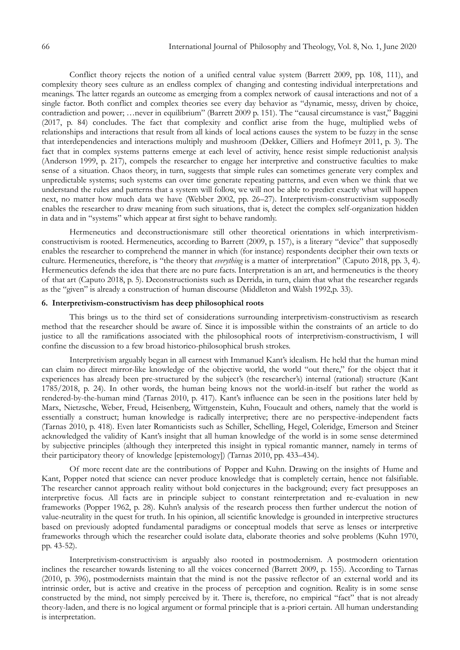Conflict theory rejects the notion of a unified central value system (Barrett 2009, pp. 108, 111), and complexity theory sees culture as an endless complex of changing and contesting individual interpretations and meanings. The latter regards an outcome as emerging from a complex network of causal interactions and not of a single factor. Both conflict and complex theories see every day behavior as "dynamic, messy, driven by choice, contradiction and power; …never in equilibrium" (Barrett 2009 p. 151). The "causal circumstance is vast," Baggini (2017, p. 84) concludes. The fact that complexity and conflict arise from the huge, multiplied webs of relationships and interactions that result from all kinds of local actions causes the system to be fuzzy in the sense that interdependencies and interactions multiply and mushroom (Dekker, Cilliers and Hofmeyr 2011, p. 3). The fact that in complex systems patterns emerge at each level of activity, hence resist simple reductionist analysis (Anderson 1999, p. 217), compels the researcher to engage her interpretive and constructive faculties to make sense of a situation. Chaos theory, in turn, suggests that simple rules can sometimes generate very complex and unpredictable systems; such systems can over time generate repeating patterns, and even when we think that we understand the rules and patterns that a system will follow, we will not be able to predict exactly what will happen next, no matter how much data we have (Webber 2002, pp. 26–27). Interpretivism-constructivism supposedly enables the researcher to draw meaning from such situations, that is, detect the complex self-organization hidden in data and in "systems" which appear at first sight to behave randomly.

Hermeneutics and deconstructionismare still other theoretical orientations in which interpretivismconstructivism is rooted. Hermeneutics, according to Barrett (2009, p. 157), is a literary "device" that supposedly enables the researcher to comprehend the manner in which (for instance) respondents decipher their own texts or culture. Hermeneutics, therefore, is "the theory that *everything* is a matter of interpretation" (Caputo 2018, pp. 3, 4). Hermeneutics defends the idea that there are no pure facts. Interpretation is an art, and hermeneutics is the theory of that art (Caputo 2018, p. 5). Deconstructionists such as Derrida, in turn, claim that what the researcher regards as the "given" is already a construction of human discourse (Middleton and Walsh 1992, p. 33).

### **6. Interpretivism-constructivism has deep philosophical roots**

This brings us to the third set of considerations surrounding interpretivism-constructivism as research method that the researcher should be aware of. Since it is impossible within the constraints of an article to do justice to all the ramifications associated with the philosophical roots of interpretivism-constructivism, I will confine the discussion to a few broad historico-philosophical brush strokes.

Interpretivism arguably began in all earnest with Immanuel Kant's idealism. He held that the human mind can claim no direct mirror-like knowledge of the objective world, the world "out there," for the object that it experiences has already been pre-structured by the subject's (the researcher's) internal (rational) structure (Kant 1785/2018, p. 24). In other words, the human being knows not the world-in-itself but rather the world as rendered-by-the-human mind (Tarnas 2010, p. 417). Kant's influence can be seen in the positions later held by Marx, Nietzsche, Weber, Freud, Heisenberg, Wittgenstein, Kuhn, Foucault and others, namely that the world is essentially a construct; human knowledge is radically interpretive; there are no perspective-independent facts (Tarnas 2010, p. 418). Even later Romanticists such as Schiller, Schelling, Hegel, Coleridge, Emerson and Steiner acknowledged the validity of Kant's insight that all human knowledge of the world is in some sense determined by subjective principles (although they interpreted this insight in typical romantic manner, namely in terms of their participatory theory of knowledge [epistemology]) (Tarnas 2010, pp. 433–434).

Of more recent date are the contributions of Popper and Kuhn. Drawing on the insights of Hume and Kant, Popper noted that science can never produce knowledge that is completely certain, hence not falsifiable. The researcher cannot approach reality without bold conjectures in the background; every fact presupposes an interpretive focus. All facts are in principle subject to constant reinterpretation and re-evaluation in new frameworks (Popper 1962, p. 28). Kuhn's analysis of the research process then further undercut the notion of value-neutrality in the quest for truth. In his opinion, all scientific knowledge is grounded in interpretive structures based on previously adopted fundamental paradigms or conceptual models that serve as lenses or interpretive frameworks through which the researcher could isolate data, elaborate theories and solve problems (Kuhn 1970, pp. 43-52).

Interpretivism-constructivism is arguably also rooted in postmodernism. A postmodern orientation inclines the researcher towards listening to all the voices concerned (Barrett 2009, p. 155). According to Tarnas (2010, p. 396), postmodernists maintain that the mind is not the passive reflector of an external world and its intrinsic order, but is active and creative in the process of perception and cognition. Reality is in some sense constructed by the mind, not simply perceived by it. There is, therefore, no empirical "fact" that is not already theory-laden, and there is no logical argument or formal principle that is a-priori certain. All human understanding is interpretation.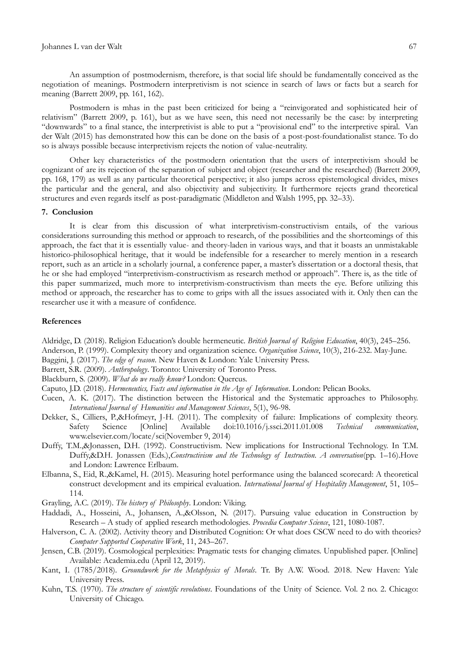#### Johannes L van der Walt 67

An assumption of postmodernism, therefore, is that social life should be fundamentally conceived as the negotiation of meanings. Postmodern interpretivism is not science in search of laws or facts but a search for meaning (Barrett 2009, pp. 161, 162).

Postmodern is mhas in the past been criticized for being a "reinvigorated and sophisticated heir of relativism‖ (Barrett 2009, p. 161), but as we have seen, this need not necessarily be the case: by interpreting "downwards" to a final stance, the interpretivist is able to put a "provisional end" to the interpretive spiral. Van der Walt (2015) has demonstrated how this can be done on the basis of a post-post-foundationalist stance. To do so is always possible because interpretivism rejects the notion of value-neutrality.

Other key characteristics of the postmodern orientation that the users of interpretivism should be cognizant of are its rejection of the separation of subject and object (researcher and the researched) (Barrett 2009, pp. 168, 179) as well as any particular theoretical perspective; it also jumps across epistemological divides, mixes the particular and the general, and also objectivity and subjectivity. It furthermore rejects grand theoretical structures and even regards itself as post-paradigmatic (Middleton and Walsh 1995, pp. 32–33).

# **7. Conclusion**

It is clear from this discussion of what interpretivism-constructivism entails, of the various considerations surrounding this method or approach to research, of the possibilities and the shortcomings of this approach, the fact that it is essentially value- and theory-laden in various ways, and that it boasts an unmistakable historico-philosophical heritage, that it would be indefensible for a researcher to merely mention in a research report, such as an article in a scholarly journal, a conference paper, a master's dissertation or a doctoral thesis, that he or she had employed "interpretivism-constructivism as research method or approach". There is, as the title of this paper summarized, much more to interpretivism-constructivism than meets the eye. Before utilizing this method or approach, the researcher has to come to grips with all the issues associated with it. Only then can the researcher use it with a measure of confidence.

### **References**

Aldridge, D. (2018). Religion Education's double hermeneutic. *British Journal of Religion Education*, 40(3), 245–256. Anderson, P. (1999). Complexity theory and organization science. *Organization Science*, 10(3), 216-232. May-June.

Baggini, J. (2017). *The edge of reason*. New Haven & London: Yale University Press.

Barrett, S.R. (2009). *Anthropology*. Toronto: University of Toronto Press.

Blackburn, S. (2009). *What do we really know?* London: Quercus.

Caputo, J.D. (2018). *Hermeneutics, Facts and information in the Age of Information*. London: Pelican Books.

- Cucen, A. K. (2017). The distinction between the Historical and the Systematic approaches to Philosophy. *International Journal of Humanities and Management Sciences*, 5(1), 96-98.
- Dekker, S., Cilliers, P.,&Hofmeyr, J-H. (2011). The complexity of failure: Implications of complexity theory. Safety Science [Online] Available doi:10.1016/j.ssci.2011.01.008 *Technical communication*, [www.elsevier.com/locate/sci\(](http://www.elsevier.com/locate/sci)November 9, 2014)
- Duffy, T.M.,&Jonassen, D.H. (1992). Constructivism. New implications for Instructional Technology. In T.M. Duffy,&D.H. Jonassen (Eds.),*Constructivism and the Technology of Instruction. A conversation*(pp. 1–16).Hove and London: Lawrence Erlbaum.
- Elbanna, S., Eid, R.,&Kamel, H. (2015). Measuring hotel performance using the balanced scorecard: A theoretical construct development and its empirical evaluation. *International Journal of Hospitality Management*, 51, 105– 114.
- Grayling, A.C. (2019). *The history of Philosophy*. London: Viking.
- Haddadi, A., Hosseini, A., Johansen, A.,&Olsson, N. (2017). Pursuing value education in Construction by Research – A study of applied research methodologies. *Procedia Computer Science*, 121, 1080-1087.
- Halverson, C. A. (2002). Activity theory and Distributed Cognition: Or what does CSCW need to do with theories? *Computer Supported Cooperative Work*, 11, 243–267.
- Jensen, C.B. (2019). Cosmological perplexities: Pragmatic tests for changing climates. Unpublished paper. [Online] Available: Academia.edu (April 12, 2019).
- Kant, I. (1785/2018). *Groundwork for the Metaphysics of Morals*. Tr. By A.W. Wood. 2018. New Haven: Yale University Press.
- Kuhn, T.S. (1970). *The structure of scientific revolutions*. Foundations of the Unity of Science. Vol. 2 no. 2. Chicago: University of Chicago.